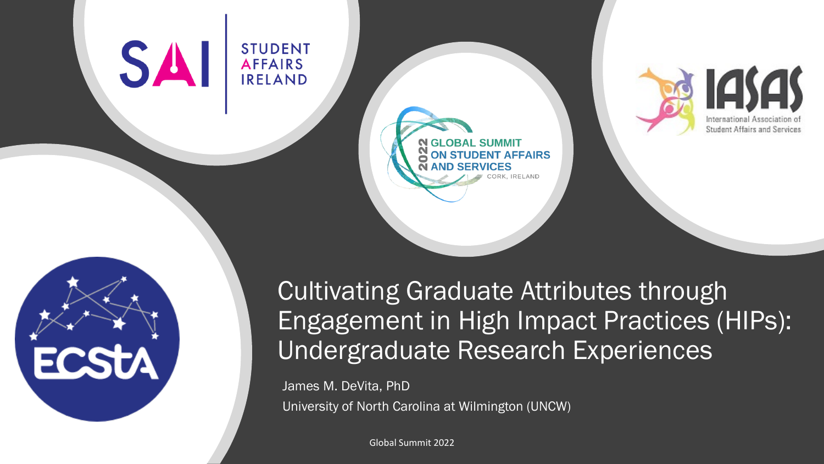#### **SA STUDENT AFFAIRS IRELAND**





### Cultivating Graduate Attributes through Engagement in High Impact Practices (HIPs): Undergraduate Research Experiences

James M. DeVita, PhD University of North Carolina at Wilmington (UNCW)

**N GLOBAL SUMMIT** 

**ON STUDENT AFFAIRS** 

Global Summit 2022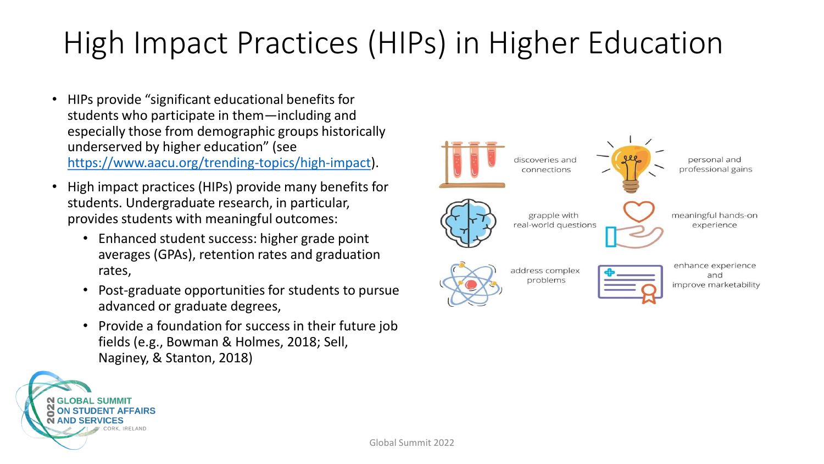### High Impact Practices (HIPs) in Higher Education

- HIPs provide "significant educational benefits for students who participate in them—including and especially those from demographic groups historically underserved by higher education" (see <https://www.aacu.org/trending-topics/high-impact>).
- High impact practices (HIPs) provide many benefits for students. Undergraduate research, in particular, provides students with meaningful outcomes:
	- Enhanced student success: higher grade point averages (GPAs), retention rates and graduation rates,
	- Post-graduate opportunities for students to pursue advanced or graduate degrees,
	- Provide a foundation for success in their future job fields (e.g., Bowman & Holmes, 2018; Sell, Naginey, & Stanton, 2018)



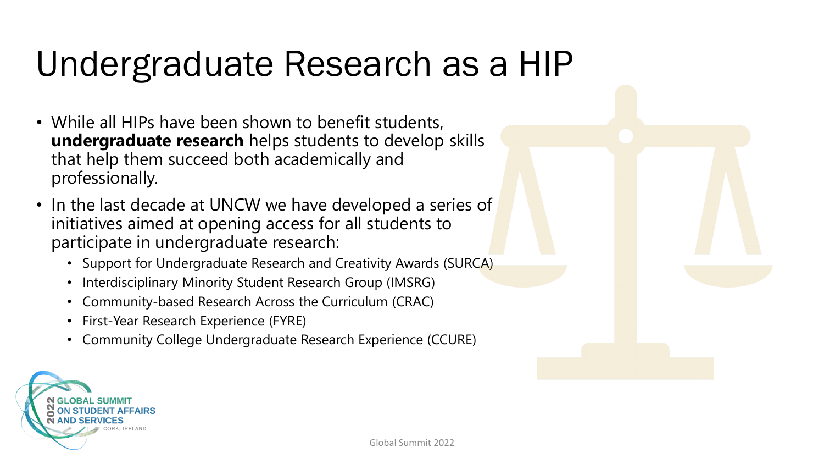# Undergraduate Research as a HIP

- While all HIPs have been shown to benefit students, **undergraduate research** helps students to develop skills that help them succeed both academically and professionally.
- In the last decade at UNCW we have developed a series of initiatives aimed at opening access for all students to participate in undergraduate research:
	- Support for Undergraduate Research and Creativity Awards (SURCA)
	- Interdisciplinary Minority Student Research Group (IMSRG)
	- Community-based Research Across the Curriculum (CRAC)
	- First-Year Research Experience (FYRE)
	- Community College Undergraduate Research Experience (CCURE)

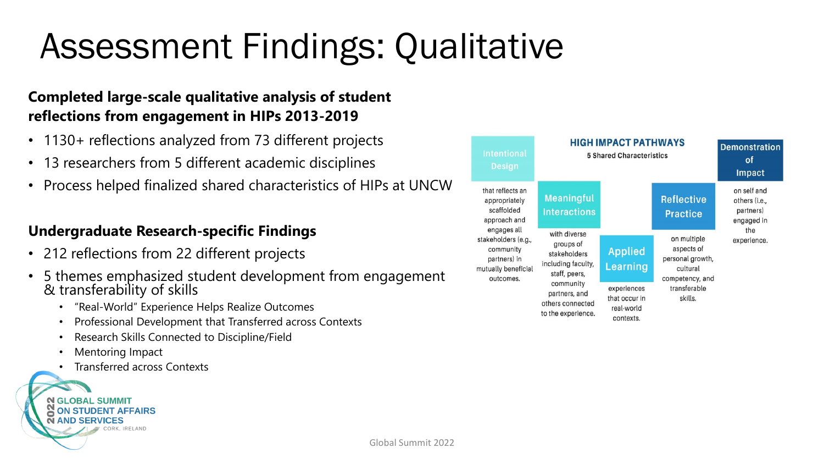# Assessment Findings: Qualitative

#### **Completed large-scale qualitative analysis of student reflections from engagement in HIPs 2013-2019**

- 1130+ reflections analyzed from 73 different projects
- 13 researchers from 5 different academic disciplines
- Process helped finalized shared characteristics of HIPs at UNCW

#### **Undergraduate Research-specific Findings**

- 212 reflections from 22 different projects
- 5 themes emphasized student development from engagement & transferability of skills
	- "Real-World" Experience Helps Realize Outcomes
	- Professional Development that Transferred across Contexts
	- Research Skills Connected to Discipline/Field
	- Mentoring Impact
	- Transferred across Contexts



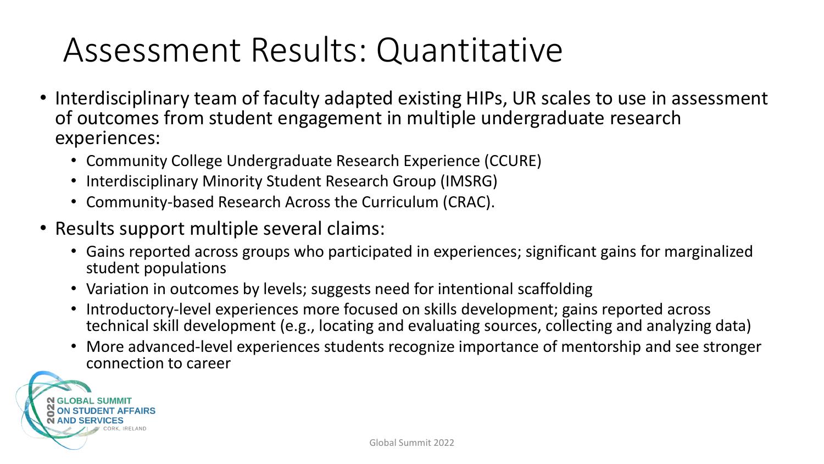## Assessment Results: Quantitative

- Interdisciplinary team of faculty adapted existing HIPs, UR scales to use in assessment of outcomes from student engagement in multiple undergraduate research experiences:
	- Community College Undergraduate Research Experience (CCURE)
	- Interdisciplinary Minority Student Research Group (IMSRG)
	- Community-based Research Across the Curriculum (CRAC).
- Results support multiple several claims:
	- Gains reported across groups who participated in experiences; significant gains for marginalized student populations
	- Variation in outcomes by levels; suggests need for intentional scaffolding
	- Introductory-level experiences more focused on skills development; gains reported across technical skill development (e.g., locating and evaluating sources, collecting and analyzing data)
	- More advanced-level experiences students recognize importance of mentorship and see stronger connection to career

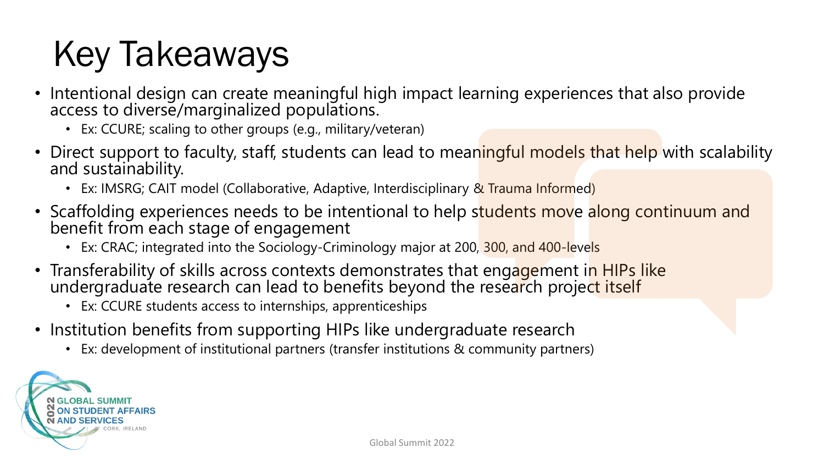# Key Takeaways

- Intentional design can create meaningful high impact learning experiences that also provide access to diverse/marginalized populations.
	- Ex: CCURE; scaling to other groups (e.g., military/veteran)
- Direct support to faculty, staff, students can lead to meaningful models that help with scalability and sustainability.
	- Ex: IMSRG; CAIT model (Collaborative, Adaptive, Interdisciplinary & Trauma Informed)
- Scaffolding experiences needs to be intentional to help students move along continuum and benefit from each stage of engagement
	- Ex: CRAC; integrated into the Sociology-Criminology major at 200, 300, and 400-levels
- Transferability of skills across contexts demonstrates that engagement in HIPs like undergraduate research can lead to benefits beyond the research project itself
	- Ex: CCURE students access to internships, apprenticeships
- Institution benefits from supporting HIPs like undergraduate research
	- Ex: development of institutional partners (transfer institutions & community partners)